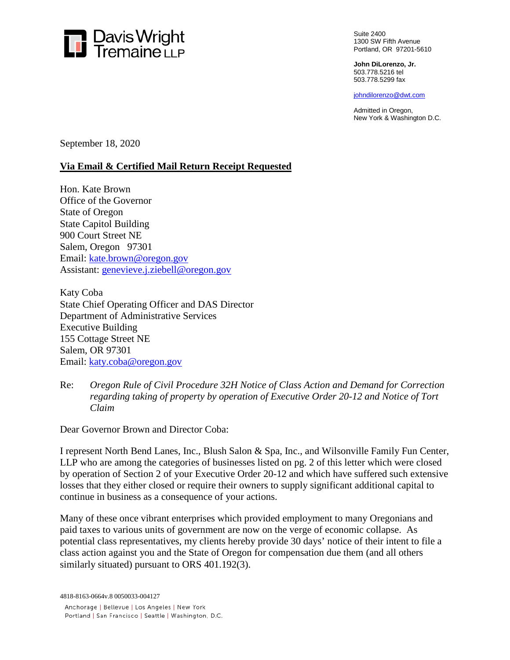

Suite 2400 1300 SW Fifth Avenue Portland, OR 97201-5610

**John DiLorenzo, Jr.**  503.778.5216 tel 503.778.5299 fax

johndilorenzo@dwt.com

Admitted in Oregon, New York & Washington D.C.

September 18, 2020

## **Via Email & Certified Mail Return Receipt Requested**

Hon. Kate Brown Office of the Governor State of Oregon State Capitol Building 900 Court Street NE Salem, Oregon 97301 Email: [kate.brown@oregon.gov](mailto:kate.brown@oregon.gov) Assistant: [genevieve.j.ziebell@oregon.gov](mailto:genevieve.j.ziebell@oregon.gov)

Katy Coba State Chief Operating Officer and DAS Director Department of Administrative Services Executive Building 155 Cottage Street NE Salem, OR 97301 Email: [katy.coba@oregon.gov](mailto:katy.coba@oregon.gov)

Re: *Oregon Rule of Civil Procedure 32H Notice of Class Action and Demand for Correction regarding taking of property by operation of Executive Order 20-12 and Notice of Tort Claim*

Dear Governor Brown and Director Coba:

I represent North Bend Lanes, Inc., Blush Salon & Spa, Inc., and Wilsonville Family Fun Center, LLP who are among the categories of businesses listed on pg. 2 of this letter which were closed by operation of Section 2 of your Executive Order 20-12 and which have suffered such extensive losses that they either closed or require their owners to supply significant additional capital to continue in business as a consequence of your actions.

Many of these once vibrant enterprises which provided employment to many Oregonians and paid taxes to various units of government are now on the verge of economic collapse. As potential class representatives, my clients hereby provide 30 days' notice of their intent to file a class action against you and the State of Oregon for compensation due them (and all others similarly situated) pursuant to ORS 401.192(3).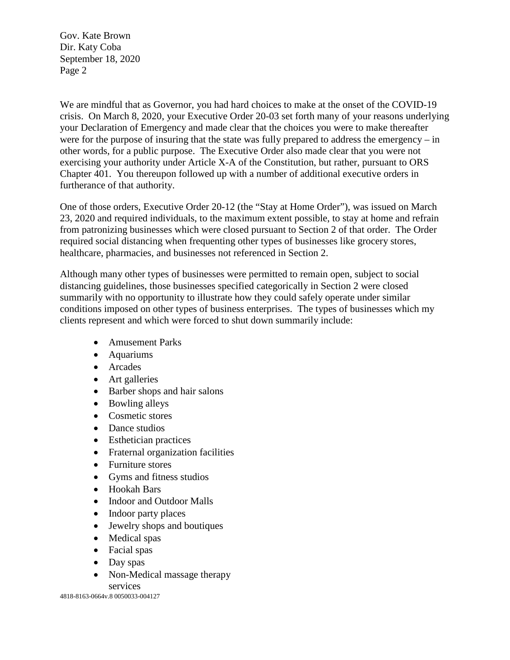We are mindful that as Governor, you had hard choices to make at the onset of the COVID-19 crisis. On March 8, 2020, your Executive Order 20-03 set forth many of your reasons underlying your Declaration of Emergency and made clear that the choices you were to make thereafter were for the purpose of insuring that the state was fully prepared to address the emergency – in other words, for a public purpose. The Executive Order also made clear that you were not exercising your authority under Article X-A of the Constitution, but rather, pursuant to ORS Chapter 401. You thereupon followed up with a number of additional executive orders in furtherance of that authority.

One of those orders, Executive Order 20-12 (the "Stay at Home Order"), was issued on March 23, 2020 and required individuals, to the maximum extent possible, to stay at home and refrain from patronizing businesses which were closed pursuant to Section 2 of that order. The Order required social distancing when frequenting other types of businesses like grocery stores, healthcare, pharmacies, and businesses not referenced in Section 2.

Although many other types of businesses were permitted to remain open, subject to social distancing guidelines, those businesses specified categorically in Section 2 were closed summarily with no opportunity to illustrate how they could safely operate under similar conditions imposed on other types of business enterprises. The types of businesses which my clients represent and which were forced to shut down summarily include:

- Amusement Parks
- Aquariums
- Arcades
- Art galleries
- Barber shops and hair salons
- Bowling alleys
- Cosmetic stores
- Dance studios
- Esthetician practices
- Fraternal organization facilities
- Furniture stores
- Gyms and fitness studios
- Hookah Bars
- Indoor and Outdoor Malls
- Indoor party places
- Jewelry shops and boutiques
- Medical spas
- Facial spas
- Day spas
- Non-Medical massage therapy services

4818-8163-0664v.8 0050033-004127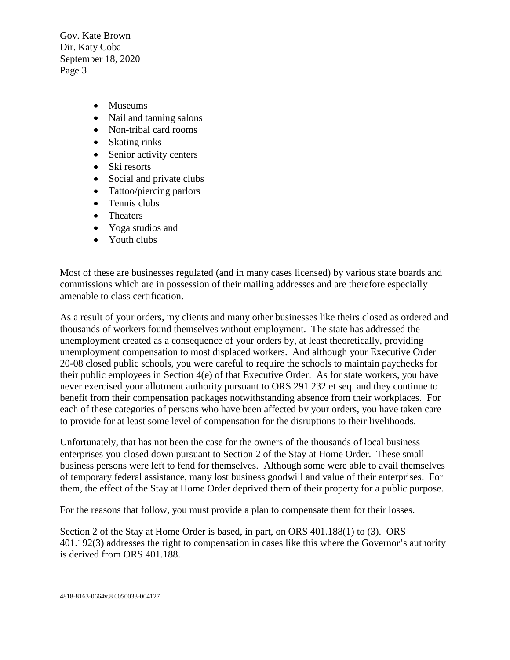- Museums
- Nail and tanning salons
- Non-tribal card rooms
- Skating rinks
- Senior activity centers
- Ski resorts
- Social and private clubs
- Tattoo/piercing parlors
- Tennis clubs
- Theaters
- Yoga studios and
- Youth clubs

Most of these are businesses regulated (and in many cases licensed) by various state boards and commissions which are in possession of their mailing addresses and are therefore especially amenable to class certification.

As a result of your orders, my clients and many other businesses like theirs closed as ordered and thousands of workers found themselves without employment. The state has addressed the unemployment created as a consequence of your orders by, at least theoretically, providing unemployment compensation to most displaced workers. And although your Executive Order 20-08 closed public schools, you were careful to require the schools to maintain paychecks for their public employees in Section 4(e) of that Executive Order. As for state workers, you have never exercised your allotment authority pursuant to ORS 291.232 et seq. and they continue to benefit from their compensation packages notwithstanding absence from their workplaces. For each of these categories of persons who have been affected by your orders, you have taken care to provide for at least some level of compensation for the disruptions to their livelihoods.

Unfortunately, that has not been the case for the owners of the thousands of local business enterprises you closed down pursuant to Section 2 of the Stay at Home Order. These small business persons were left to fend for themselves. Although some were able to avail themselves of temporary federal assistance, many lost business goodwill and value of their enterprises. For them, the effect of the Stay at Home Order deprived them of their property for a public purpose.

For the reasons that follow, you must provide a plan to compensate them for their losses.

Section 2 of the Stay at Home Order is based, in part, on ORS 401.188(1) to (3). ORS 401.192(3) addresses the right to compensation in cases like this where the Governor's authority is derived from ORS 401.188.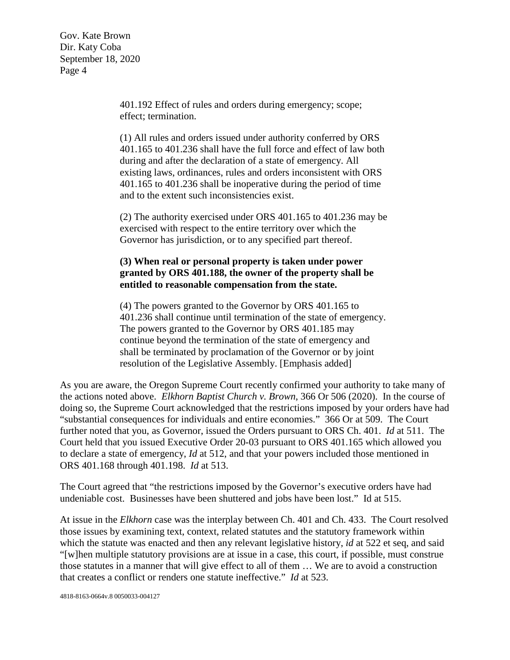> 401.192 Effect of rules and orders during emergency; scope; effect; termination.

(1) All rules and orders issued under authority conferred by ORS 401.165 to 401.236 shall have the full force and effect of law both during and after the declaration of a state of emergency. All existing laws, ordinances, rules and orders inconsistent with ORS 401.165 to 401.236 shall be inoperative during the period of time and to the extent such inconsistencies exist.

(2) The authority exercised under ORS 401.165 to 401.236 may be exercised with respect to the entire territory over which the Governor has jurisdiction, or to any specified part thereof.

## **(3) When real or personal property is taken under power granted by ORS 401.188, the owner of the property shall be entitled to reasonable compensation from the state.**

(4) The powers granted to the Governor by ORS 401.165 to 401.236 shall continue until termination of the state of emergency. The powers granted to the Governor by ORS 401.185 may continue beyond the termination of the state of emergency and shall be terminated by proclamation of the Governor or by joint resolution of the Legislative Assembly. [Emphasis added]

As you are aware, the Oregon Supreme Court recently confirmed your authority to take many of the actions noted above. *Elkhorn Baptist Church v. Brown*, 366 Or 506 (2020). In the course of doing so, the Supreme Court acknowledged that the restrictions imposed by your orders have had "substantial consequences for individuals and entire economies." 366 Or at 509. The Court further noted that you, as Governor, issued the Orders pursuant to ORS Ch. 401. *Id* at 511. The Court held that you issued Executive Order 20-03 pursuant to ORS 401.165 which allowed you to declare a state of emergency, *Id* at 512, and that your powers included those mentioned in ORS 401.168 through 401.198. *Id* at 513.

The Court agreed that "the restrictions imposed by the Governor's executive orders have had undeniable cost. Businesses have been shuttered and jobs have been lost." Id at 515.

At issue in the *Elkhorn* case was the interplay between Ch. 401 and Ch. 433. The Court resolved those issues by examining text, context, related statutes and the statutory framework within which the statute was enacted and then any relevant legislative history, *id* at 522 et seq, and said "[w]hen multiple statutory provisions are at issue in a case, this court, if possible, must construe those statutes in a manner that will give effect to all of them … We are to avoid a construction that creates a conflict or renders one statute ineffective." *Id* at 523.

4818-8163-0664v.8 0050033-004127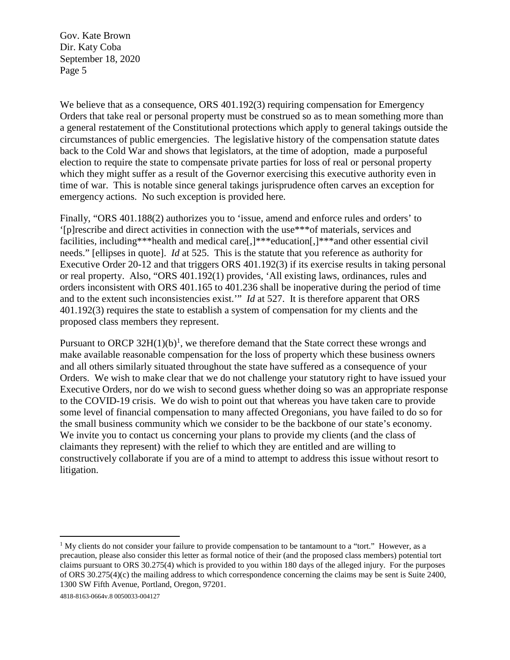We believe that as a consequence, ORS 401.192(3) requiring compensation for Emergency Orders that take real or personal property must be construed so as to mean something more than a general restatement of the Constitutional protections which apply to general takings outside the circumstances of public emergencies. The legislative history of the compensation statute dates back to the Cold War and shows that legislators, at the time of adoption, made a purposeful election to require the state to compensate private parties for loss of real or personal property which they might suffer as a result of the Governor exercising this executive authority even in time of war. This is notable since general takings jurisprudence often carves an exception for emergency actions. No such exception is provided here.

Finally, "ORS 401.188(2) authorizes you to 'issue, amend and enforce rules and orders' to '[p]rescribe and direct activities in connection with the use\*\*\*of materials, services and facilities, including\*\*\*health and medical care<sup>[1]\*\*\*</sup>education<sup>[1]\*\*\*</sup>and other essential civil needs." [ellipses in quote]. *Id* at 525. This is the statute that you reference as authority for Executive Order 20-12 and that triggers ORS 401.192(3) if its exercise results in taking personal or real property. Also, "ORS 401.192(1) provides, 'All existing laws, ordinances, rules and orders inconsistent with ORS 401.165 to 401.236 shall be inoperative during the period of time and to the extent such inconsistencies exist.'" *Id* at 527. It is therefore apparent that ORS 401.192(3) requires the state to establish a system of compensation for my clients and the proposed class members they represent.

Pursuant to ORCP  $32H(1)(b)^1$  $32H(1)(b)^1$  $32H(1)(b)^1$ , we therefore demand that the State correct these wrongs and make available reasonable compensation for the loss of property which these business owners and all others similarly situated throughout the state have suffered as a consequence of your Orders. We wish to make clear that we do not challenge your statutory right to have issued your Executive Orders, nor do we wish to second guess whether doing so was an appropriate response to the COVID-19 crisis. We do wish to point out that whereas you have taken care to provide some level of financial compensation to many affected Oregonians, you have failed to do so for the small business community which we consider to be the backbone of our state's economy. We invite you to contact us concerning your plans to provide my clients (and the class of claimants they represent) with the relief to which they are entitled and are willing to constructively collaborate if you are of a mind to attempt to address this issue without resort to litigation.

<span id="page-4-0"></span><sup>&</sup>lt;sup>1</sup> My clients do not consider your failure to provide compensation to be tantamount to a "tort." However, as a precaution, please also consider this letter as formal notice of their (and the proposed class members) potential tort claims pursuant to ORS 30.275(4) which is provided to you within 180 days of the alleged injury. For the purposes of ORS 30.275(4)(c) the mailing address to which correspondence concerning the claims may be sent is Suite 2400, 1300 SW Fifth Avenue, Portland, Oregon, 97201.